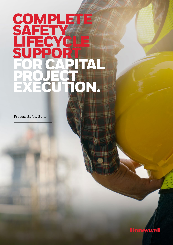# **COMPLETE SAFETY** FECYCLE<br>IDDOPT SUPPORT FOR CAPITA **PROJECT!** EXECUTION.

Process Safety Suite **Process Safety Suite**

SAFETY OF THE COMPANY

LIFECTURE CONTROL

OPERATION CONTINUES

FOR CURRENTLE

SUPPORT OF THE OWNER.

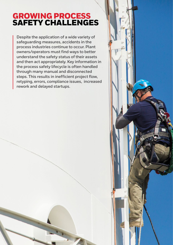## GROWING PROCESS SAFETY CHALLENGES

**Despite the application of a wide variety of safeguarding measures, accidents in the process industries continue to occur. Plant owners/operators must find ways to better understand the safety status of their assets and then act appropriately. Key information in the process safety lifecycle is often handled through many manual and disconnected steps. This results in inefficient project flow, retyping, errors, compliance issues, increased rework and delayed startups.**

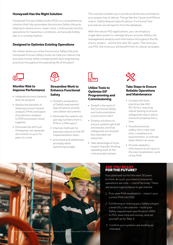#### **Honeywell Has the Right Solution**

Honeywell Process Safety Suite (PSS) is a comprehensive solution that fully automates the process Safety lifecycle, helping to reduce errors, lower costs, continuously monitor operations for hazardous conditions, and provide Safety aler ts in a timely fashion.

#### **Designed to Optimize Existing Operations**

No matter where you enter the process Safety lifecycle, Honeywell Process Safety Suite can help you reduce risk and save money, while complying with best engineering practices throughout the operating life of the plant.





#### **Monitor Risk to Improve Performance**

- Integrate process hazards and risk analysis
- Realize the benefits of drawing process hazard analysis (PHA) and layers of protection analysis (LOPA) processes closer together
- Eliminate the dif ficult of keeping t wo separate documents in sync for years to come

#### **Streamline Work to Enhance Functional Safety**

- Simplif y preparation of Safety requirement Specifications and SIL calculation documents
- Eliminate the need to ret ype tag numbers from a PHA or LOPA repor t
- Improve methods for passing outputs to the SIF implementation team.
- prioritized and addressed promptly while optimizing budget.

This solution enables you to produce all the documentation your project has to deliver. Things like the Cause and Effects matrix, Safety Require Specifications, Functional Test procedures are all reports from the database.

With the robust PSS applications, you can employ a single data system to manage all your process Safety risk management analysis and information throughout the life of your project – and for the next 30+ years. The more you use PSS, the more you will benefit from its robust synergies.



#### **Utilize Tools to Optimize SIF Programming and Commissioning**

- Simplif y the work of the functional Safety and instrumentation construction staf f
- Employ solutions to ensure systems get built and tested, and that safeguards accomplish the intended risk reduction
- Take advantage of tools suppor ting late-binding speeding work at the critical project phase



#### **Take Steps to Ensure Reliable Operations and Maintenance**

- Comply with best practices like ISA/ IEC 61511 requiring robust testing to ensure safeguards stay in place and work properly ever y time
- Visualize process safety risk in near real time, compliance to requirements, or indicate when there's an issue
- Provide reliabilit y information as an input to the next revalidation cycle of the PHA



#### ARE YOU READY FOR THE FUTURE?

Your plant will run for the next 30 years or more. As such, you have to ensure its operations are safe — cost ef fectively. There are several logical places to get started:

- 1. Five-year PHA revalidation import your current PHA into PSS
- 2. Confirming or redoing your Safety integrit y level (SIL) calculations – build your Safety requirement specification (SRS) in PSS, save time and money, and set yourself up for Step 3.
- 3. Confirm your systems are working as intended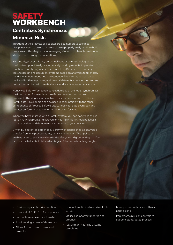## **SAFETY** WORKBENCH **Centralize. Synchronize.**

### **Minimize Risk.**

Throughout the lifecycle of a capital project, numerous technical disciplines need to be on the same page to properly analyze risk to build processes with safeguards for managing risk within tolerable limits upon star t-up and throughout operations.

Historically, process Safety personnel have used methodologies and toolkits to suppor t analy tics, ultimately building repor ts to pass to functional Safety engineers. Then, functional Safety uses a variet y of tools to design and document systems based on analy tics to ultimately hand over to operations and maintenance. The information switches back and for th many times, and manual data entr y, revision control, and normal human behavior creates havoc and leads to systematic errors.

Honeywell Safety Workbench consolidates all of the tools, synchronizes the information for seamless transfer and revision control, and represents the single source of truth for your process and functional Safety data. This solution can be used in conjunction with the other components of Process Safety Suite to keep your data evergreen and monitor performance to minimize risk moving for ward.

When you have an issue with a Safety system, you can easily see the ef fect on your risk profile, -displayed on Your Risk Matrix, making it easier to manage risks and demonstrate adherence to your policies.

Driven by a patented data model, Safety Workbench enables seamless transfer from one process Safety activit y to the next. The application enables users to star t any where in the lifecycle and grow as they go. You can use the full suite to take advantages of the considerable synergies.

- Provides ingle enterprise solution
- Ensures ISA/IEC 61511 compliance
- Suppor ts seamless data transfer
- Provides single point of data entr y
- Allows for concurrent users and projects
- Suppor ts unlimited users (multiple EPCs)
- Utilizes company standards and libraries
- Saves man-hours by utilizing templates
- Manages competencies with user permissions
- Implements revision controls to suppor t stage/gated process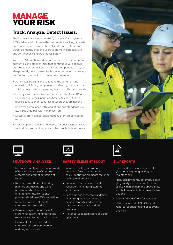## MANAGE YOUR RISK

### **Track. Analyze. Detect Issues.**

The Process Safety Analyzer (PSA) module of Honeywell 's PSS is advanced sof t ware that automates tracking, analysis and repor ting on the operation of shutdown systems and Safety elements, enabling users to promptly detect issues and continuously ensure process Safety.

With the PSA solution, industrial organizations can prove to authorities and other entities that continuous validation is performed to essential process Safety components. They can also promptly detect issues for faster action when necessar y, and capturing repor ts to prove proper operation.

- Automates tracking and validating the condition and operation of Safety components to identif y risk gaps on a shif t or daily basis, so operating teams can fix them quickly
- Employs transparent key performance indicators (KPIs) visualized in Forge Operations Safety Advisor (OSA) to make it easy to shift resources to where they are needed
- Improves compliance with regulations and standards like IEC 61511/61508 with minimal effort
- Detects safety-critical equipment due for test or needing repair
- Keeps supporting data and reports for post-event analysis for auditing and working towards best-inclass safety levels





#### SHUTDOWN ANALYZER

- Increased Safety via continuous and ef fective validation of shutdown systems and prompt detection of issues
- Reduced downtime, minimizing planned shutdowns and using unplanned shutdowns for emergency shutdown (ESD)/ planned shutdown (PSD) validation
- Reduced time and ef for t for shutdown system audits
- Fewer ex tra personnel onsite for system validation, minimizing risk exposure and transpor tation costs
- Historical validated record of shutdown system operation for auditing with causes



#### SAFETY ELEMENT SCOUT

- Increased Safety by promptly detecting failed operations and easily identif ying elements requiring testing/maintenance
- Reduced downtime required for validation, minimizing planned shutdowns
- Less time and ef for t for validation, minimizing the need for ex tra personnel onsite and lowering transpor tation costs and risk exposure
- Historical validated record of Safety operations



#### SIL REPORTS

- Increased Safety, quickly identif ying items requiring testing or maintenance
- Reduced downtime/deferrals, identif ying Safety instrumented functions (SIFs) with high demand above limits and failure rates to take preventative actions
- Less time and ef for t for validation
- Historical record of SIL KPIs and repor ts for auditing and post-event analysis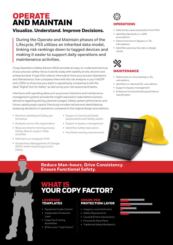## **OPERATE** AND MAINTAIN

### **Visualize. Understand. Improve Decisions.**

**During the Operate and Maintain phases of the Lifecycle, PSS utilizes an inherited data model, linking risk rankings down to tagged devices and making it easier to support daily operations and maintenance activities.**

Forge Operations Safety Advisor (OSA) provides an easy-to-understand picture of your process safety risk as it stands today with visibility at site, division and enterprise level. Forge OSA collects information from your process Operations and Maintenance, then compares them with the risk analyses in your HAZOP and LOPAs to show how your plant is operating by comparing it with the ideal "Digital Twin for Safety" as laid out by your risk assessment teams.

Interfaces with operating data such as process historians and maintenance management systems provide the insight required to make better business decisions regarding testing, planned outages, Safety system performance, and future capital project spend. Previously invisible risk become identifiable by analyzing deviations in operations compared to the original design assumptions.

- Monitors dashboard Safety per formance
- Analyzes across the organization
- Reduces time for mining process Safety data to suppor t daily activities
- Maintains an evergreen PHA
- Streamlines Management of Change (MOC) while impacting process Safety
- Suppor ts functional Safety assessments and Safety audits
- Suppor ts bypass management
- Identifies Safety bad actors
- Facilitates testing requirements



- Determines cause association from PHA
- Identifies demands vs. LOPA assumptions
- Determines time in Bypass vs. SIL Calculations
- Identifies spurious trip rate vs. design values



#### **INTENANCE**

- Determines on-time testing vs. SIL calculations
- Identifies on-demand SIL calculations
- Suppor ts bypass management
- Enhances functional testing and failure classification

### **Reduce Man-hours. Drive Consistency. Ensure Functional Safety.**

### WHAT IS YOUR COPY FACTOR?

#### LEVERAGE TEMPLATES

- Equipment Under Control
- Independent Protection Layer
- Copy/Use E xisting Assemblies

"

• What is your "Copy Factor?

#### HOURS PER PROTECTION LAYER

- Integrit y Level Verification
- Safety Requirements
- Cause & Ef fect Intersections
- Functional Tests Plans
- Traditional Safety Workbench

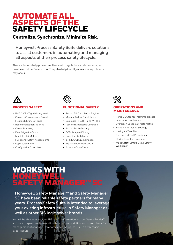### AUTOMATE ALL ASPECTS OF THE SAFETY LIFECYCLE

### **Centralize. Synchronize. Minimize Risk.**

**Honeywell Process Safety Suite delivers solutions to assist customers in automating and managing all aspects of their process safety lifecycle.**

These solutions help prove compliance with regulations and standards, and provide a status of overall risk. They also help identif y areas where problems may occur.



#### PROCESS SAFETY

- PHA /LOPA Tightly Integrated
- Cause or Consequence Based
- Flexible Librar y Set tings
- Recommendation Tracking
- Cause Summing
- Data Migration Tools
- Multiple Risk Matrices
- Functional Safety Assessments
- Gap Assignments
- Configurable Checklists



#### **TIONAL SAFETY**

- Robust SIL Calculation Engine
- Manage Failure Rate Librar y
- Calculate PFD, RRF and MT TFs
- Test and Diagnostic Coverage
- Par tial Stroke Testing
- CCF/3-layered Voting
- Graphical Architecture
- SRS IEC 61511 Compliant
- Equipment Under Control
- Advance Copy/Clone

## **ERATIONS AND** MAINTENANCE

- Forge OSA for near real time process safety risk visualization.
- Evergreen Cause & Ef fects matrix
- Standardize Testing Strategy
- Intelligent Test Plans
- End-to-end Test Procedures
- Device-level Test Procedures
- Make Safety Simple Using Safety Workbench

# KS W HONEYWELL,

**Honeywell Safety Manager™ and Safety Manager SC have been reliable safety partners for many years. Process Safety Suite is intended to leverage your existing infrastructure in Safety Manager as well as other SIS logic solver brands.**

You will be able to move your SRS design information into our Safety Builder<sup>™</sup> software to speed implementation, take out transcription errors, and check for management of change or temporar y bypass issues — all in a way that is cyber-secure.